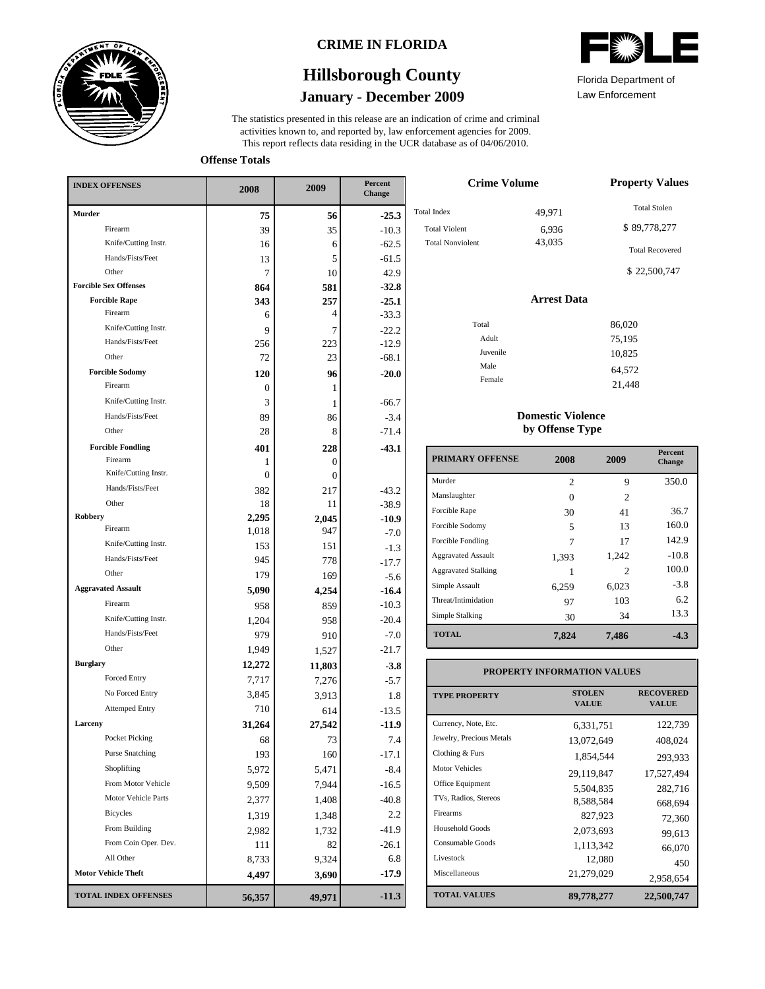

### **CRIME IN FLORIDA**

# **January - December 2009 Hillsborough County**

This report reflects data residing in the UCR database as of 04/06/2010. activities known to, and reported by, law enforcement agencies for 2009. The statistics presented in this release are an indication of crime and criminal



Law Enforcement Florida Department of

21,448

**Offense Totals**

| <b>INDEX OFFENSES</b>        | 2008         | 2009     | Percent<br><b>Change</b> |  |
|------------------------------|--------------|----------|--------------------------|--|
| Murder                       | 75           | 56       | $-25.3$                  |  |
| Firearm                      | 39           | 35       | $-10.3$                  |  |
| Knife/Cutting Instr.         | 16           | 6        | $-62.5$                  |  |
| Hands/Fists/Feet             | 13           | 5        | $-61.5$                  |  |
| Other                        | 7            | 10       | 42.9                     |  |
| <b>Forcible Sex Offenses</b> | 864          | 581      | $-32.8$                  |  |
| <b>Forcible Rape</b>         | 343          | 257      | $-25.1$                  |  |
| Firearm                      | 6            | 4        | $-33.3$                  |  |
| Knife/Cutting Instr.         | 9            | 7        | $-22.2$                  |  |
| Hands/Fists/Feet             | 256          | 223      | $-12.9$                  |  |
| Other                        | 72           | 23       | $-68.1$                  |  |
| <b>Forcible Sodomy</b>       | 120          | 96       | $-20.0$                  |  |
| Firearm                      | 0            | 1        |                          |  |
| Knife/Cutting Instr.         | 3            | 1        | $-66.7$                  |  |
| Hands/Fists/Feet             | 89           | 86       | $-3.4$                   |  |
| Other                        | 28           | 8        | $-71.4$                  |  |
| <b>Forcible Fondling</b>     | 401          | 228      | $-43.1$                  |  |
| Firearm                      | 1            | $\Omega$ |                          |  |
| Knife/Cutting Instr.         | $\mathbf{0}$ | $\theta$ |                          |  |
| Hands/Fists/Feet             | 382          | 217      | $-43.2$                  |  |
| Other                        | 18           | 11       | $-38.9$                  |  |
| Robbery<br>Firearm           | 2,295        | 2,045    | $-10.9$                  |  |
|                              | 1,018        | 947      | $-7.0$                   |  |
| Knife/Cutting Instr.         | 153          | 151      | $-1.3$                   |  |
| Hands/Fists/Feet             | 945          | 778      | $-17.7$                  |  |
| Other                        | 179          | 169      | $-5.6$                   |  |
| <b>Aggravated Assault</b>    | 5,090        | 4,254    | $-16.4$                  |  |
| Firearm                      | 958          | 859      | $-10.3$                  |  |
| Knife/Cutting Instr.         | 1,204        | 958      | $-20.4$                  |  |
| Hands/Fists/Feet             | 979          | 910      | $-7.0$                   |  |
| Other                        | 1,949        | 1,527    | $-21.7$                  |  |
| <b>Burglary</b>              | 12,272       | 11,803   | $-3.8$                   |  |
| <b>Forced Entry</b>          | 7,717        | 7,276    | $-5.7$                   |  |
| No Forced Entry              | 3,845        | 3,913    | 1.8                      |  |
| <b>Attemped Entry</b>        | 710          | 614      | $-13.5$                  |  |
| Larceny                      | 31,264       | 27,542   | $-11.9$                  |  |
| Pocket Picking               | 68           | 73       | 7.4                      |  |
| <b>Purse Snatching</b>       | 193          | 160      | $-17.1$                  |  |
| Shoplifting                  | 5,972        | 5,471    | $-8.4$                   |  |
| From Motor Vehicle           | 9,509        | 7,944    | $-16.5$                  |  |
| Motor Vehicle Parts          | 2,377        | 1,408    | $-40.8$                  |  |
| <b>Bicycles</b>              | 1,319        | 1,348    | 2.2                      |  |
| From Building                | 2,982        | 1,732    | -41.9                    |  |
| From Coin Oper. Dev.         | 111          | 82       | $-26.1$                  |  |
| All Other                    | 8,733        | 9,324    | 6.8                      |  |
| <b>Motor Vehicle Theft</b>   | 4,497        | 3,690    | $-17.9$                  |  |
| <b>TOTAL INDEX OFFENSES</b>  | 56,357       | 49,971   | $-11.3$                  |  |

| <b>Crime Volume</b>                                                   | <b>Property Values</b>    |                                                               |
|-----------------------------------------------------------------------|---------------------------|---------------------------------------------------------------|
| <b>Total Index</b><br><b>Total Violent</b><br><b>Total Nonviolent</b> | 49,971<br>6,936<br>43,035 | <b>Total Stolen</b><br>\$89,778,277<br><b>Total Recovered</b> |
|                                                                       |                           | \$22,500,747                                                  |
|                                                                       | <b>Arrest Data</b>        |                                                               |
| Total                                                                 |                           | 86,020                                                        |
| Adult                                                                 |                           | 75,195                                                        |
| Juvenile                                                              |                           | 10,825                                                        |
| Male                                                                  |                           | 64,572                                                        |
| Female                                                                |                           | 21.40                                                         |

#### **Domestic Violence by Offense Type**

| <b>PRIMARY OFFENSE</b>     | 2008           | 2009           | <b>Percent</b><br><b>Change</b> |
|----------------------------|----------------|----------------|---------------------------------|
| Murder                     | $\overline{c}$ | 9              | 350.0                           |
| Manslaughter               | $\Omega$       | $\mathfrak{D}$ |                                 |
| Forcible Rape              | 30             | 41             | 36.7                            |
| Forcible Sodomy            | 5              | 13             | 160.0                           |
| Forcible Fondling          | 7              | 17             | 142.9                           |
| <b>Aggravated Assault</b>  | 1,393          | 1,242          | $-10.8$                         |
| <b>Aggravated Stalking</b> |                | 2              | 100.0                           |
| Simple Assault             | 6,259          | 6,023          | $-3.8$                          |
| Threat/Intimidation        | 97             | 103            | 6.2                             |
| Simple Stalking            | 30             | 34             | 13.3                            |
| <b>TOTAL</b>               | 7,824          | 7,486          | $-4.3$                          |

### **PROPERTY INFORMATION VALUES**

| <b>TYPE PROPERTY</b>     | <b>STOLEN</b><br><b>VALUE</b> | <b>RECOVERED</b><br><b>VALUE</b> |
|--------------------------|-------------------------------|----------------------------------|
| Currency, Note, Etc.     | 6,331,751                     | 122,739                          |
| Jewelry, Precious Metals | 13,072,649                    | 408,024                          |
| Clothing & Furs          | 1,854,544                     | 293,933                          |
| Motor Vehicles           | 29,119,847                    | 17.527.494                       |
| Office Equipment         | 5.504.835                     | 282,716                          |
| TVs, Radios, Stereos     | 8,588,584                     | 668,694                          |
| Firearms                 | 827,923                       | 72,360                           |
| <b>Household Goods</b>   | 2,073,693                     | 99,613                           |
| Consumable Goods         | 1,113,342                     | 66,070                           |
| Livestock                | 12,080                        | 450                              |
| Miscellaneous            | 21,279,029                    | 2,958,654                        |
| <b>TOTAL VALUES</b>      | 89,778,277                    | 22,500,747                       |